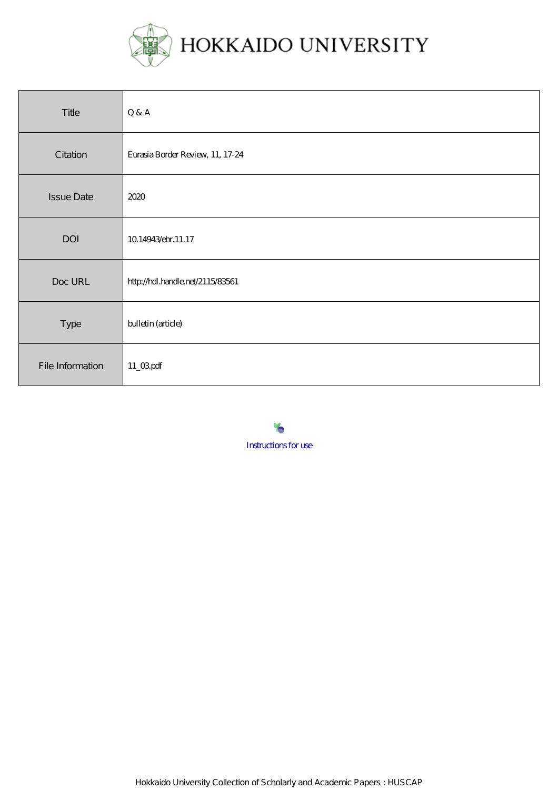

| Title             | Q & A                            |
|-------------------|----------------------------------|
| Citation          | Eurasia Border Review, 11, 17-24 |
| <b>Issue Date</b> | 2020                             |
| DOI               | 10.14943/ebr.11.17               |
| Doc URL           | http://hdl.handle.net/2115/83561 |
| Type              | bulletin (article)               |
| File Information  | $11_\text{Q}$ gpdf               |

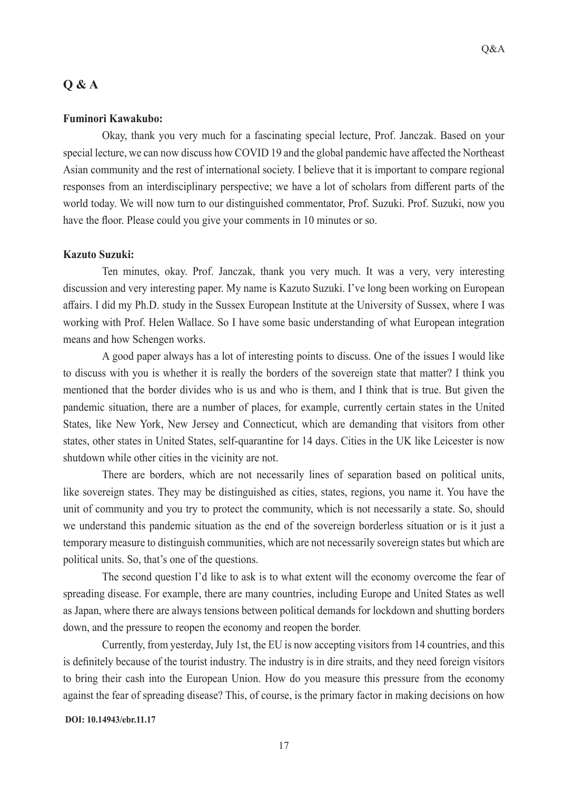# **Q & A**

## **Fuminori Kawakubo:**

Okay, thank you very much for a fascinating special lecture, Prof. Janczak. Based on your special lecture, we can now discuss how COVID 19 and the global pandemic have affected the Northeast Asian community and the rest of international society. I believe that it is important to compare regional responses from an interdisciplinary perspective; we have a lot of scholars from different parts of the world today. We will now turn to our distinguished commentator, Prof. Suzuki. Prof. Suzuki, now you have the floor. Please could you give your comments in 10 minutes or so.

### **Kazuto Suzuki:**

Ten minutes, okay. Prof. Janczak, thank you very much. It was a very, very interesting discussion and very interesting paper. My name is Kazuto Suzuki. I've long been working on European affairs. I did my Ph.D. study in the Sussex European Institute at the University of Sussex, where I was working with Prof. Helen Wallace. So I have some basic understanding of what European integration means and how Schengen works.

A good paper always has a lot of interesting points to discuss. One of the issues I would like to discuss with you is whether it is really the borders of the sovereign state that matter? I think you mentioned that the border divides who is us and who is them, and I think that is true. But given the pandemic situation, there are a number of places, for example, currently certain states in the United States, like New York, New Jersey and Connecticut, which are demanding that visitors from other states, other states in United States, self-quarantine for 14 days. Cities in the UK like Leicester is now shutdown while other cities in the vicinity are not.

There are borders, which are not necessarily lines of separation based on political units, like sovereign states. They may be distinguished as cities, states, regions, you name it. You have the unit of community and you try to protect the community, which is not necessarily a state. So, should we understand this pandemic situation as the end of the sovereign borderless situation or is it just a temporary measure to distinguish communities, which are not necessarily sovereign states but which are political units. So, that's one of the questions.

The second question I'd like to ask is to what extent will the economy overcome the fear of spreading disease. For example, there are many countries, including Europe and United States as well as Japan, where there are always tensions between political demands for lockdown and shutting borders down, and the pressure to reopen the economy and reopen the border.

Currently, from yesterday, July 1st, the EU is now accepting visitors from 14 countries, and this is definitely because of the tourist industry. The industry is in dire straits, and they need foreign visitors to bring their cash into the European Union. How do you measure this pressure from the economy against the fear of spreading disease? This, of course, is the primary factor in making decisions on how

#### **DOI: 10.14943/ebr.11.17**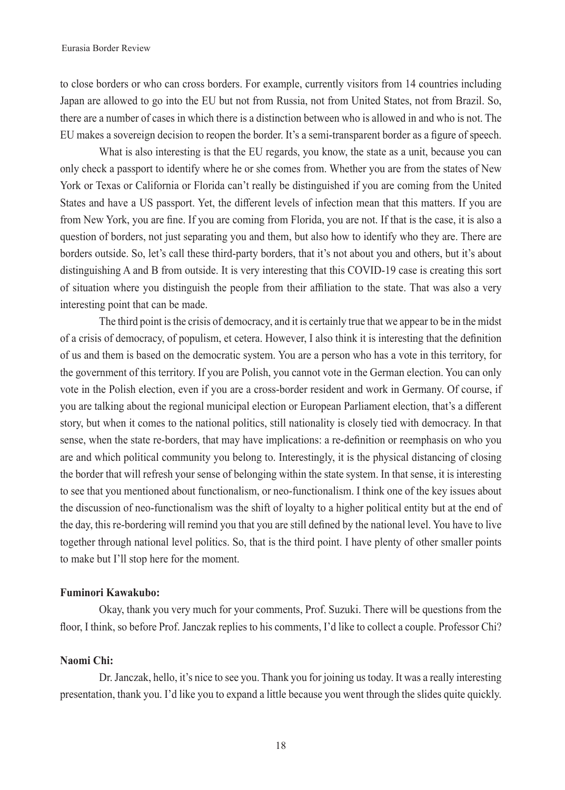to close borders or who can cross borders. For example, currently visitors from 14 countries including Japan are allowed to go into the EU but not from Russia, not from United States, not from Brazil. So, there are a number of cases in which there is a distinction between who is allowed in and who is not. The EU makes a sovereign decision to reopen the border. It's a semi-transparent border as a figure of speech.

What is also interesting is that the EU regards, you know, the state as a unit, because you can only check a passport to identify where he or she comes from. Whether you are from the states of New York or Texas or California or Florida can't really be distinguished if you are coming from the United States and have a US passport. Yet, the different levels of infection mean that this matters. If you are from New York, you are fine. If you are coming from Florida, you are not. If that is the case, it is also a question of borders, not just separating you and them, but also how to identify who they are. There are borders outside. So, let's call these third-party borders, that it's not about you and others, but it's about distinguishing A and B from outside. It is very interesting that this COVID-19 case is creating this sort of situation where you distinguish the people from their affiliation to the state. That was also a very interesting point that can be made.

The third point is the crisis of democracy, and it is certainly true that we appear to be in the midst of a crisis of democracy, of populism, et cetera. However, I also think it is interesting that the definition of us and them is based on the democratic system. You are a person who has a vote in this territory, for the government of this territory. If you are Polish, you cannot vote in the German election. You can only vote in the Polish election, even if you are a cross-border resident and work in Germany. Of course, if you are talking about the regional municipal election or European Parliament election, that's a different story, but when it comes to the national politics, still nationality is closely tied with democracy. In that sense, when the state re-borders, that may have implications: a re-definition or reemphasis on who you are and which political community you belong to. Interestingly, it is the physical distancing of closing the border that will refresh your sense of belonging within the state system. In that sense, it is interesting to see that you mentioned about functionalism, or neo-functionalism. I think one of the key issues about the discussion of neo-functionalism was the shift of loyalty to a higher political entity but at the end of the day, this re-bordering will remind you that you are still defined by the national level. You have to live together through national level politics. So, that is the third point. I have plenty of other smaller points to make but I'll stop here for the moment.

## **Fuminori Kawakubo:**

Okay, thank you very much for your comments, Prof. Suzuki. There will be questions from the floor, I think, so before Prof. Janczak replies to his comments, I'd like to collect a couple. Professor Chi?

# **Naomi Chi:**

Dr. Janczak, hello, it's nice to see you. Thank you for joining us today. It was a really interesting presentation, thank you. I'd like you to expand a little because you went through the slides quite quickly.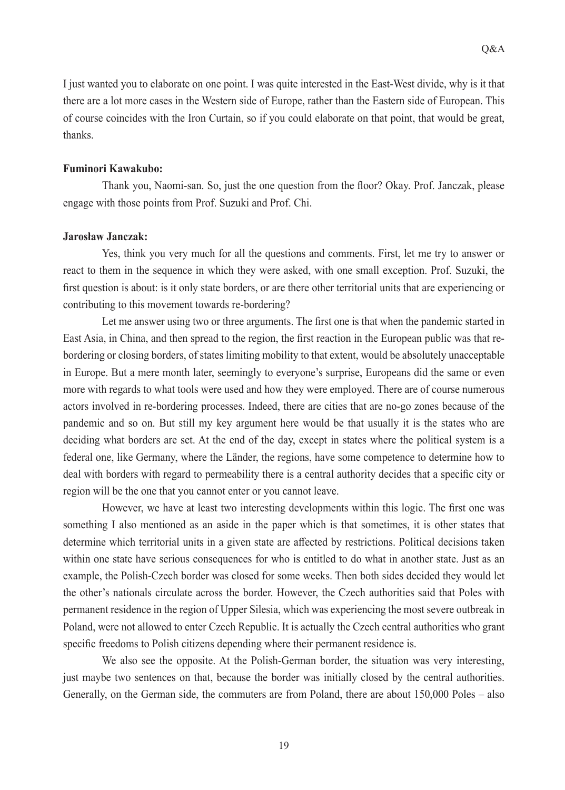I just wanted you to elaborate on one point. I was quite interested in the East-West divide, why is it that there are a lot more cases in the Western side of Europe, rather than the Eastern side of European. This of course coincides with the Iron Curtain, so if you could elaborate on that point, that would be great, thanks.

### **Fuminori Kawakubo:**

Thank you, Naomi-san. So, just the one question from the floor? Okay. Prof. Janczak, please engage with those points from Prof. Suzuki and Prof. Chi.

### **Jarosław Janczak:**

Yes, think you very much for all the questions and comments. First, let me try to answer or react to them in the sequence in which they were asked, with one small exception. Prof. Suzuki, the first question is about: is it only state borders, or are there other territorial units that are experiencing or contributing to this movement towards re-bordering?

Let me answer using two or three arguments. The first one is that when the pandemic started in East Asia, in China, and then spread to the region, the first reaction in the European public was that rebordering or closing borders, of states limiting mobility to that extent, would be absolutely unacceptable in Europe. But a mere month later, seemingly to everyone's surprise, Europeans did the same or even more with regards to what tools were used and how they were employed. There are of course numerous actors involved in re-bordering processes. Indeed, there are cities that are no-go zones because of the pandemic and so on. But still my key argument here would be that usually it is the states who are deciding what borders are set. At the end of the day, except in states where the political system is a federal one, like Germany, where the Länder, the regions, have some competence to determine how to deal with borders with regard to permeability there is a central authority decides that a specific city or region will be the one that you cannot enter or you cannot leave.

However, we have at least two interesting developments within this logic. The first one was something I also mentioned as an aside in the paper which is that sometimes, it is other states that determine which territorial units in a given state are affected by restrictions. Political decisions taken within one state have serious consequences for who is entitled to do what in another state. Just as an example, the Polish-Czech border was closed for some weeks. Then both sides decided they would let the other's nationals circulate across the border. However, the Czech authorities said that Poles with permanent residence in the region of Upper Silesia, which was experiencing the most severe outbreak in Poland, were not allowed to enter Czech Republic. It is actually the Czech central authorities who grant specific freedoms to Polish citizens depending where their permanent residence is.

We also see the opposite. At the Polish-German border, the situation was very interesting, just maybe two sentences on that, because the border was initially closed by the central authorities. Generally, on the German side, the commuters are from Poland, there are about 150,000 Poles – also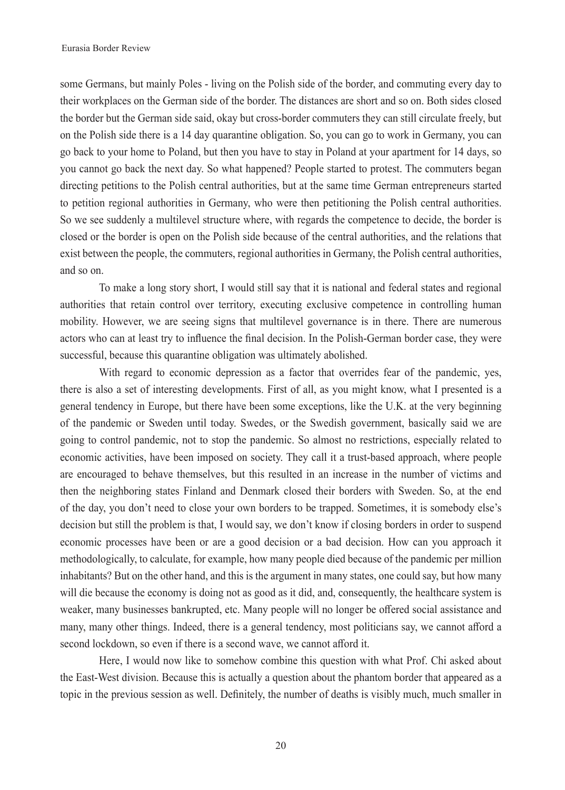some Germans, but mainly Poles - living on the Polish side of the border, and commuting every day to their workplaces on the German side of the border. The distances are short and so on. Both sides closed the border but the German side said, okay but cross-border commuters they can still circulate freely, but on the Polish side there is a 14 day quarantine obligation. So, you can go to work in Germany, you can go back to your home to Poland, but then you have to stay in Poland at your apartment for 14 days, so you cannot go back the next day. So what happened? People started to protest. The commuters began directing petitions to the Polish central authorities, but at the same time German entrepreneurs started to petition regional authorities in Germany, who were then petitioning the Polish central authorities. So we see suddenly a multilevel structure where, with regards the competence to decide, the border is closed or the border is open on the Polish side because of the central authorities, and the relations that exist between the people, the commuters, regional authorities in Germany, the Polish central authorities, and so on.

To make a long story short, I would still say that it is national and federal states and regional authorities that retain control over territory, executing exclusive competence in controlling human mobility. However, we are seeing signs that multilevel governance is in there. There are numerous actors who can at least try to influence the final decision. In the Polish-German border case, they were successful, because this quarantine obligation was ultimately abolished.

With regard to economic depression as a factor that overrides fear of the pandemic, yes, there is also a set of interesting developments. First of all, as you might know, what I presented is a general tendency in Europe, but there have been some exceptions, like the U.K. at the very beginning of the pandemic or Sweden until today. Swedes, or the Swedish government, basically said we are going to control pandemic, not to stop the pandemic. So almost no restrictions, especially related to economic activities, have been imposed on society. They call it a trust-based approach, where people are encouraged to behave themselves, but this resulted in an increase in the number of victims and then the neighboring states Finland and Denmark closed their borders with Sweden. So, at the end of the day, you don't need to close your own borders to be trapped. Sometimes, it is somebody else's decision but still the problem is that, I would say, we don't know if closing borders in order to suspend economic processes have been or are a good decision or a bad decision. How can you approach it methodologically, to calculate, for example, how many people died because of the pandemic per million inhabitants? But on the other hand, and this is the argument in many states, one could say, but how many will die because the economy is doing not as good as it did, and, consequently, the healthcare system is weaker, many businesses bankrupted, etc. Many people will no longer be offered social assistance and many, many other things. Indeed, there is a general tendency, most politicians say, we cannot afford a second lockdown, so even if there is a second wave, we cannot afford it.

Here, I would now like to somehow combine this question with what Prof. Chi asked about the East-West division. Because this is actually a question about the phantom border that appeared as a topic in the previous session as well. Definitely, the number of deaths is visibly much, much smaller in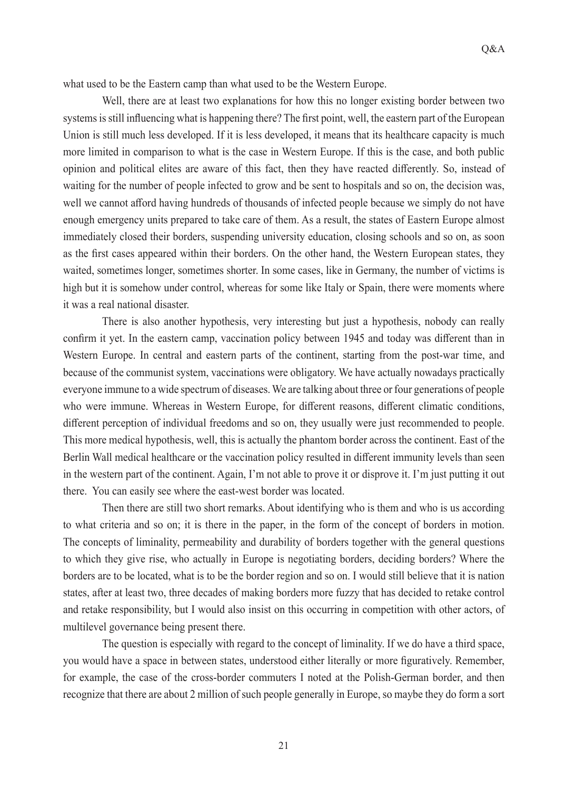what used to be the Eastern camp than what used to be the Western Europe.

Well, there are at least two explanations for how this no longer existing border between two systems is still influencing what is happening there? The first point, well, the eastern part of the European Union is still much less developed. If it is less developed, it means that its healthcare capacity is much more limited in comparison to what is the case in Western Europe. If this is the case, and both public opinion and political elites are aware of this fact, then they have reacted differently. So, instead of waiting for the number of people infected to grow and be sent to hospitals and so on, the decision was, well we cannot afford having hundreds of thousands of infected people because we simply do not have enough emergency units prepared to take care of them. As a result, the states of Eastern Europe almost immediately closed their borders, suspending university education, closing schools and so on, as soon as the first cases appeared within their borders. On the other hand, the Western European states, they waited, sometimes longer, sometimes shorter. In some cases, like in Germany, the number of victims is high but it is somehow under control, whereas for some like Italy or Spain, there were moments where it was a real national disaster.

There is also another hypothesis, very interesting but just a hypothesis, nobody can really confirm it yet. In the eastern camp, vaccination policy between 1945 and today was different than in Western Europe. In central and eastern parts of the continent, starting from the post-war time, and because of the communist system, vaccinations were obligatory. We have actually nowadays practically everyone immune to a wide spectrum of diseases. We are talking about three or four generations of people who were immune. Whereas in Western Europe, for different reasons, different climatic conditions, different perception of individual freedoms and so on, they usually were just recommended to people. This more medical hypothesis, well, this is actually the phantom border across the continent. East of the Berlin Wall medical healthcare or the vaccination policy resulted in different immunity levels than seen in the western part of the continent. Again, I'm not able to prove it or disprove it. I'm just putting it out there. You can easily see where the east-west border was located.

Then there are still two short remarks. About identifying who is them and who is us according to what criteria and so on; it is there in the paper, in the form of the concept of borders in motion. The concepts of liminality, permeability and durability of borders together with the general questions to which they give rise, who actually in Europe is negotiating borders, deciding borders? Where the borders are to be located, what is to be the border region and so on. I would still believe that it is nation states, after at least two, three decades of making borders more fuzzy that has decided to retake control and retake responsibility, but I would also insist on this occurring in competition with other actors, of multilevel governance being present there.

The question is especially with regard to the concept of liminality. If we do have a third space, you would have a space in between states, understood either literally or more figuratively. Remember, for example, the case of the cross-border commuters I noted at the Polish-German border, and then recognize that there are about 2 million of such people generally in Europe, so maybe they do form a sort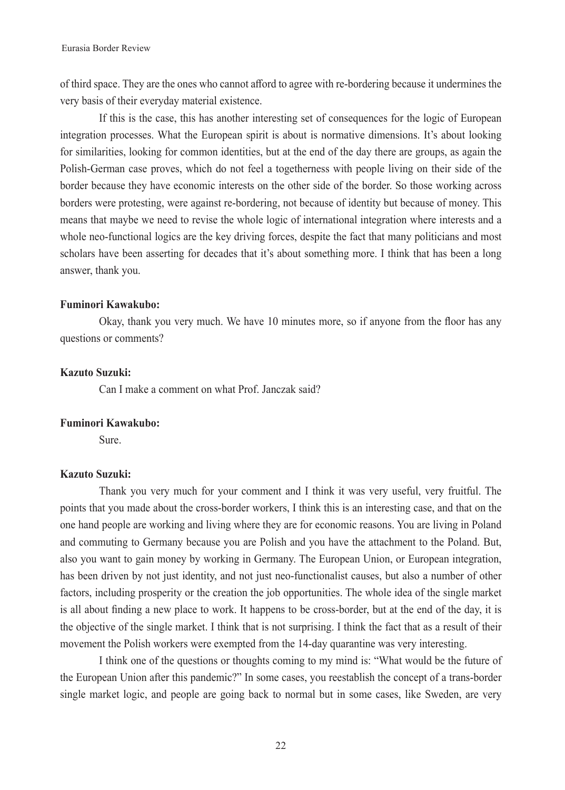of third space. They are the ones who cannot afford to agree with re-bordering because it undermines the very basis of their everyday material existence.

If this is the case, this has another interesting set of consequences for the logic of European integration processes. What the European spirit is about is normative dimensions. It's about looking for similarities, looking for common identities, but at the end of the day there are groups, as again the Polish-German case proves, which do not feel a togetherness with people living on their side of the border because they have economic interests on the other side of the border. So those working across borders were protesting, were against re-bordering, not because of identity but because of money. This means that maybe we need to revise the whole logic of international integration where interests and a whole neo-functional logics are the key driving forces, despite the fact that many politicians and most scholars have been asserting for decades that it's about something more. I think that has been a long answer, thank you.

# **Fuminori Kawakubo:**

Okay, thank you very much. We have 10 minutes more, so if anyone from the floor has any questions or comments?

# **Kazuto Suzuki:**

Can I make a comment on what Prof. Janczak said?

#### **Fuminori Kawakubo:**

Sure.

## **Kazuto Suzuki:**

Thank you very much for your comment and I think it was very useful, very fruitful. The points that you made about the cross-border workers, I think this is an interesting case, and that on the one hand people are working and living where they are for economic reasons. You are living in Poland and commuting to Germany because you are Polish and you have the attachment to the Poland. But, also you want to gain money by working in Germany. The European Union, or European integration, has been driven by not just identity, and not just neo-functionalist causes, but also a number of other factors, including prosperity or the creation the job opportunities. The whole idea of the single market is all about finding a new place to work. It happens to be cross-border, but at the end of the day, it is the objective of the single market. I think that is not surprising. I think the fact that as a result of their movement the Polish workers were exempted from the 14-day quarantine was very interesting.

I think one of the questions or thoughts coming to my mind is: "What would be the future of the European Union after this pandemic?" In some cases, you reestablish the concept of a trans-border single market logic, and people are going back to normal but in some cases, like Sweden, are very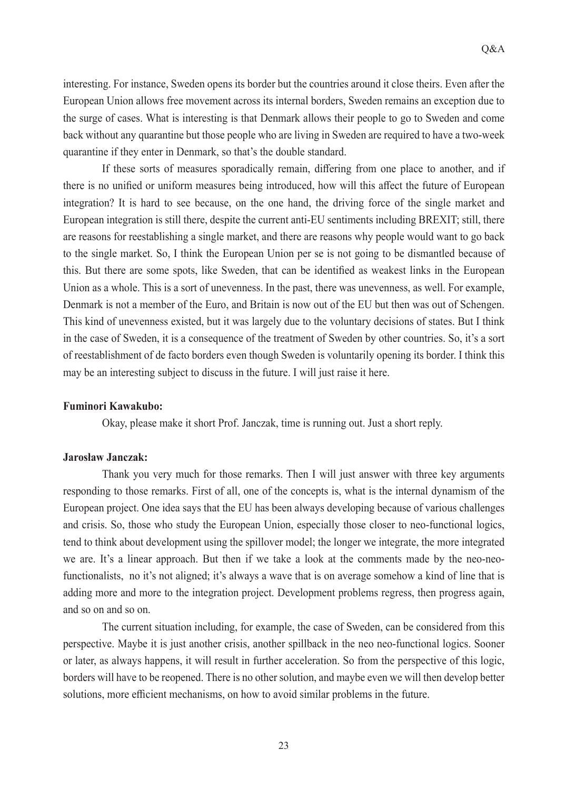interesting. For instance, Sweden opens its border but the countries around it close theirs. Even after the European Union allows free movement across its internal borders, Sweden remains an exception due to the surge of cases. What is interesting is that Denmark allows their people to go to Sweden and come back without any quarantine but those people who are living in Sweden are required to have a two-week quarantine if they enter in Denmark, so that's the double standard.

If these sorts of measures sporadically remain, differing from one place to another, and if there is no unified or uniform measures being introduced, how will this affect the future of European integration? It is hard to see because, on the one hand, the driving force of the single market and European integration is still there, despite the current anti-EU sentiments including BREXIT; still, there are reasons for reestablishing a single market, and there are reasons why people would want to go back to the single market. So, I think the European Union per se is not going to be dismantled because of this. But there are some spots, like Sweden, that can be identified as weakest links in the European Union as a whole. This is a sort of unevenness. In the past, there was unevenness, as well. For example, Denmark is not a member of the Euro, and Britain is now out of the EU but then was out of Schengen. This kind of unevenness existed, but it was largely due to the voluntary decisions of states. But I think in the case of Sweden, it is a consequence of the treatment of Sweden by other countries. So, it's a sort of reestablishment of de facto borders even though Sweden is voluntarily opening its border. I think this may be an interesting subject to discuss in the future. I will just raise it here.

# **Fuminori Kawakubo:**

Okay, please make it short Prof. Janczak, time is running out. Just a short reply.

## **Jarosław Janczak:**

Thank you very much for those remarks. Then I will just answer with three key arguments responding to those remarks. First of all, one of the concepts is, what is the internal dynamism of the European project. One idea says that the EU has been always developing because of various challenges and crisis. So, those who study the European Union, especially those closer to neo-functional logics, tend to think about development using the spillover model; the longer we integrate, the more integrated we are. It's a linear approach. But then if we take a look at the comments made by the neo-neofunctionalists, no it's not aligned; it's always a wave that is on average somehow a kind of line that is adding more and more to the integration project. Development problems regress, then progress again, and so on and so on.

The current situation including, for example, the case of Sweden, can be considered from this perspective. Maybe it is just another crisis, another spillback in the neo neo-functional logics. Sooner or later, as always happens, it will result in further acceleration. So from the perspective of this logic, borders will have to be reopened. There is no other solution, and maybe even we will then develop better solutions, more efficient mechanisms, on how to avoid similar problems in the future.